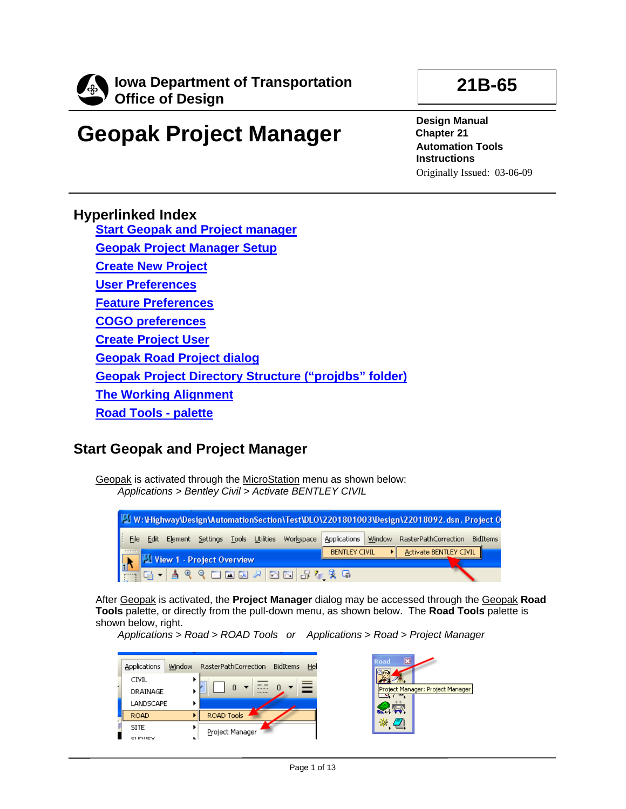

# **Geopak Project Manager**

**Design Manual Chapter 21 Automation Tools Instructions** 

**21B-65** 

Originally Issued: 03-06-09

### **Hyperlinked Index**

**[Start Geopak and Project manager](#page-0-0) [Geopak Project Manager Setup](#page-1-0) [Create New Project](#page-1-1) [User Preferences](#page-3-0) [Feature Preferences](#page-4-0) [COGO preferences](#page-5-0) [Create Project User](#page-6-0) [Geopak Road Project dialog](#page-8-0) [Geopak Project Directory Structure \("projdbs" folder\)](#page-9-0) [The Working Alignment](#page-9-1) [Road Tools - palette](#page-12-0)**

# <span id="page-0-0"></span>**Start Geopak and Project Manager**

Geopak is activated through the MicroStation menu as shown below: *Applications > Bentley Civil > Activate BENTLEY CIVIL*



After Geopak is activated, the **Project Manager** dialog may be accessed through the Geopak **Road Tools** palette, or directly from the pull-down menu, as shown below. The **Road Tools** palette is shown below, right.

*Applications > Road > ROAD Tools or Applications > Road > Project Manager* 

| <b>Applications</b> | <b>Window</b> | RasterPathCorrection | <b>BidItems</b><br>Hel |
|---------------------|---------------|----------------------|------------------------|
| <b>CIVIL</b><br>. . |               |                      |                        |
| DRAINAGE            |               | 0<br>▼<br>100111-01  |                        |
| LANDSCAPE           |               |                      |                        |
| <b>ROAD</b>         |               | ROAD Tools           |                        |
| <b>SITE</b>         |               | Project Manager      |                        |
| I<br><b>CLINUEV</b> |               |                      |                        |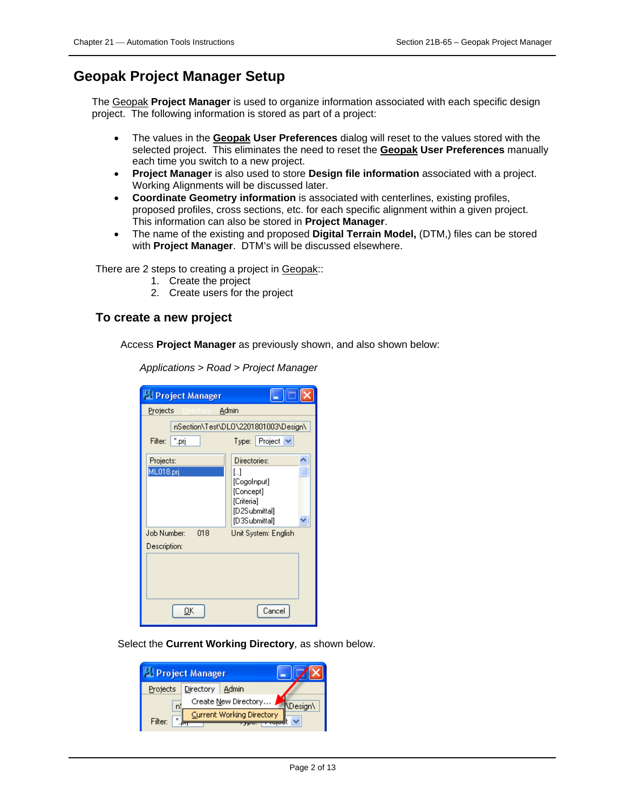## <span id="page-1-0"></span>**Geopak Project Manager Setup**

The Geopak **Project Manager** is used to organize information associated with each specific design project. The following information is stored as part of a project:

- The values in the **Geopak User Preferences** dialog will reset to the values stored with the selected project. This eliminates the need to reset the **Geopak User Preferences** manually each time you switch to a new project.
- **Project Manager** is also used to store **Design file information** associated with a project. Working Alignments will be discussed later.
- **Coordinate Geometry information** is associated with centerlines, existing profiles, proposed profiles, cross sections, etc. for each specific alignment within a given project. This information can also be stored in **Project Manager**.
- The name of the existing and proposed **Digital Terrain Model,** (DTM,) files can be stored with **Project Manager**. DTM's will be discussed elsewhere.

There are 2 steps to creating a project in Geopak::

- 1. Create the project
- 2. Create users for the project

### <span id="page-1-1"></span>**To create a new project**

Access **Project Manager** as previously shown, and also shown below:

*Applications > Road > Project Manager* 

| <b>Project Manager</b>             |                                                                                |  |  |  |  |
|------------------------------------|--------------------------------------------------------------------------------|--|--|--|--|
| Projects<br>Directory -            | Admin                                                                          |  |  |  |  |
|                                    | nSection\Test\DL0\2201801003\Design\                                           |  |  |  |  |
| *.prj<br>Filter:                   | Type: Project $\vee$                                                           |  |  |  |  |
| Projects:                          | Directories:                                                                   |  |  |  |  |
| ML018.prj                          | IJ<br>[CogoInput]<br>[Concept]<br>[Criteria]<br>[D2Submittal]<br>[D3Submittal] |  |  |  |  |
| 018<br>Job Number:<br>Description: | Unit System: English                                                           |  |  |  |  |
|                                    |                                                                                |  |  |  |  |
| OΚ                                 | Cancel                                                                         |  |  |  |  |

Select the **Current Working Directory**, as shown below.

| <sup>1</sup> Project Manager |                           |  |  |                 |
|------------------------------|---------------------------|--|--|-----------------|
| Projects                     | Directory Admin           |  |  |                 |
|                              | Create New Directory      |  |  | <b>\Design\</b> |
| $\mathbf{x}$<br>Filter:      | Current Working Directory |  |  |                 |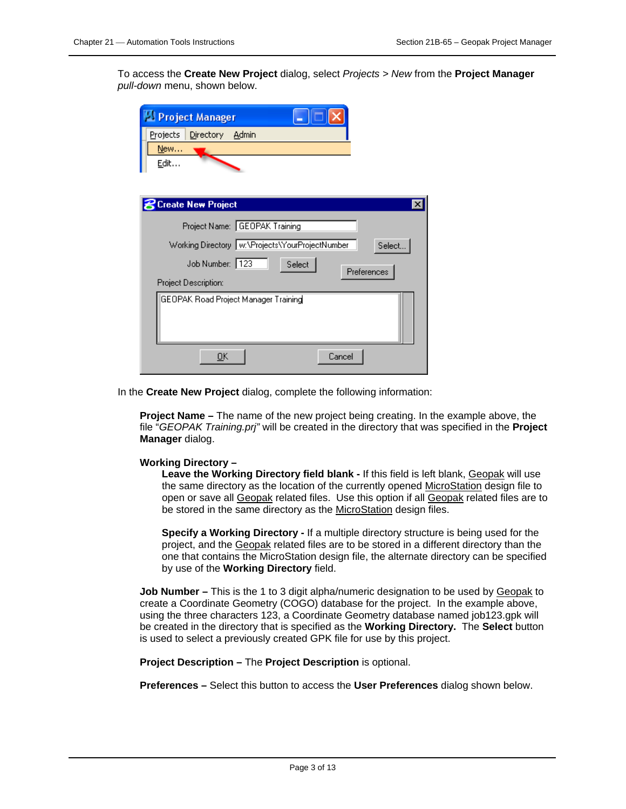To access the **Create New Project** dialog, select *Projects > New* from the **Project Manager** *pull-down* menu, shown below.

| <b>PI Project Manager</b>            |                                                             |
|--------------------------------------|-------------------------------------------------------------|
| Projects<br>Directory                | Admin                                                       |
| New                                  |                                                             |
| <b>Edit</b>                          |                                                             |
|                                      |                                                             |
| <b>Create New Project</b>            | $\boldsymbol{\mathsf{x}}$                                   |
|                                      | Project Name: GEOPAK Training                               |
|                                      | Working Directory   w:\Projects\YourProjectNumber<br>Select |
| Job Number: 123                      | Select<br>Preferences                                       |
| Project Description:                 |                                                             |
| GEOPAK Road Project Manager Training |                                                             |
|                                      |                                                             |
| ŪΚ                                   | Cancel                                                      |

In the **Create New Project** dialog, complete the following information:

**Project Name –** The name of the new project being creating. In the example above, the file "*GEOPAK Training.prj"* will be created in the directory that was specified in the **Project Manager** dialog.

### **Working Directory –**

**Leave the Working Directory field blank -** If this field is left blank, Geopak will use the same directory as the location of the currently opened MicroStation design file to open or save all Geopak related files. Use this option if all Geopak related files are to be stored in the same directory as the MicroStation design files.

**Specify a Working Directory -** If a multiple directory structure is being used for the project, and the Geopak related files are to be stored in a different directory than the one that contains the MicroStation design file, the alternate directory can be specified by use of the **Working Directory** field.

**Job Number –** This is the 1 to 3 digit alpha/numeric designation to be used by Geopak to create a Coordinate Geometry (COGO) database for the project. In the example above, using the three characters 123, a Coordinate Geometry database named job123.gpk will be created in the directory that is specified as the **Working Directory.** The **Select** button is used to select a previously created GPK file for use by this project.

**Project Description –** The **Project Description** is optional.

**Preferences –** Select this button to access the **User Preferences** dialog shown below.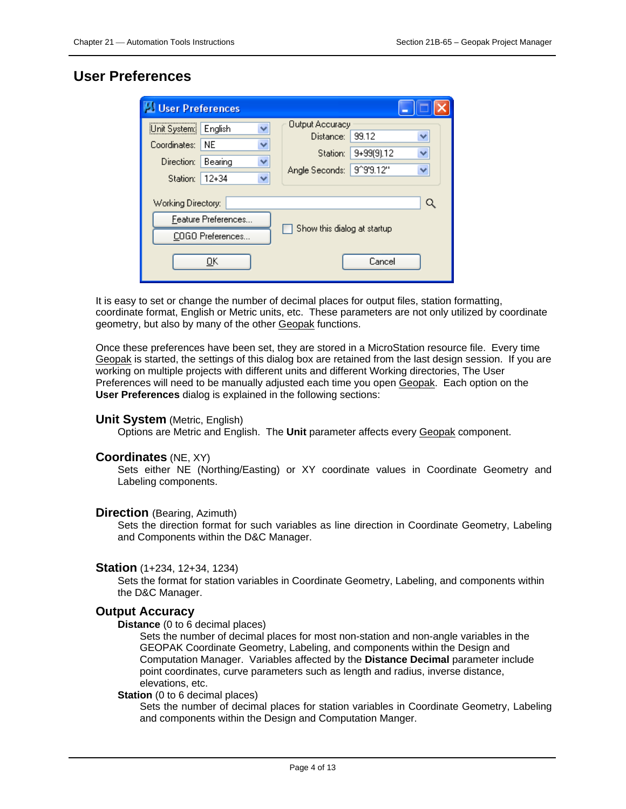### <span id="page-3-0"></span>**User Preferences**

| <b>US User Preferences</b>                                              |                                          |  |                                                                   |                                  |             |
|-------------------------------------------------------------------------|------------------------------------------|--|-------------------------------------------------------------------|----------------------------------|-------------|
| Unit System:<br>Coordinates:<br>Direction:                              | v<br>English<br>NF.<br>v<br>Bearing<br>v |  | <b>Output Accuracy</b><br>Distance:<br>Station:<br>Angle Seconds: | 99.12<br>9+99(9).12<br>9^9'9.12" | ₩<br>v<br>v |
| $12 + 34$<br>v<br>Station:<br>Working Directory:<br>Feature Preferences |                                          |  | Show this dialog at startup                                       |                                  | Q           |
| COGO Preferences<br><u>ο</u> κ                                          |                                          |  |                                                                   | Cancel                           |             |

It is easy to set or change the number of decimal places for output files, station formatting, coordinate format, English or Metric units, etc. These parameters are not only utilized by coordinate geometry, but also by many of the other Geopak functions.

Once these preferences have been set, they are stored in a MicroStation resource file. Every time Geopak is started, the settings of this dialog box are retained from the last design session. If you are working on multiple projects with different units and different Working directories, The User Preferences will need to be manually adjusted each time you open Geopak. Each option on the **User Preferences** dialog is explained in the following sections:

### **Unit System** (Metric, English)

Options are Metric and English. The **Unit** parameter affects every Geopak component.

### **Coordinates** (NE, XY)

Sets either NE (Northing/Easting) or XY coordinate values in Coordinate Geometry and Labeling components.

### **Direction** (Bearing, Azimuth)

Sets the direction format for such variables as line direction in Coordinate Geometry, Labeling and Components within the D&C Manager.

### **Station** (1+234, 12+34, 1234)

Sets the format for station variables in Coordinate Geometry, Labeling, and components within the D&C Manager.

### **Output Accuracy**

### **Distance** (0 to 6 decimal places)

Sets the number of decimal places for most non-station and non-angle variables in the GEOPAK Coordinate Geometry, Labeling, and components within the Design and Computation Manager. Variables affected by the **Distance Decimal** parameter include point coordinates, curve parameters such as length and radius, inverse distance, elevations, etc.

### **Station** (0 to 6 decimal places)

Sets the number of decimal places for station variables in Coordinate Geometry, Labeling and components within the Design and Computation Manger.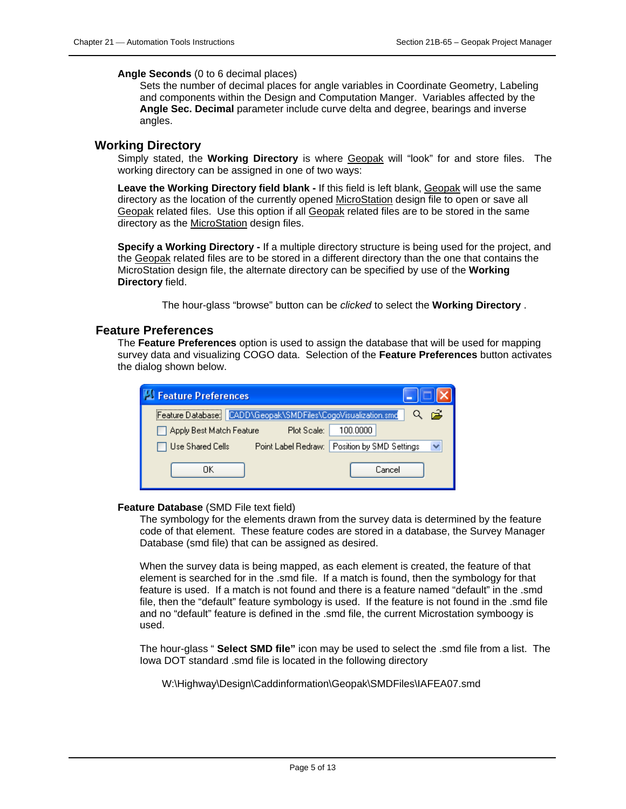### **Angle Seconds** (0 to 6 decimal places)

Sets the number of decimal places for angle variables in Coordinate Geometry, Labeling and components within the Design and Computation Manger. Variables affected by the **Angle Sec. Decimal** parameter include curve delta and degree, bearings and inverse angles.

### **Working Directory**

Simply stated, the **Working Directory** is where Geopak will "look" for and store files. The working directory can be assigned in one of two ways:

**Leave the Working Directory field blank -** If this field is left blank, Geopak will use the same directory as the location of the currently opened MicroStation design file to open or save all Geopak related files. Use this option if all Geopak related files are to be stored in the same directory as the MicroStation design files.

**Specify a Working Directory -** If a multiple directory structure is being used for the project, and the Geopak related files are to be stored in a different directory than the one that contains the MicroStation design file, the alternate directory can be specified by use of the **Working Directory** field.

The hour-glass "browse" button can be *clicked* to select the **Working Directory** .

### <span id="page-4-0"></span>**Feature Preferences**

The **Feature Preferences** option is used to assign the database that will be used for mapping survey data and visualizing COGO data. Selection of the **Feature Preferences** button activates the dialog shown below.

| <b>Seature Preferences</b> |                                            |                          |
|----------------------------|--------------------------------------------|--------------------------|
| Feature Database:          | CADD\Geopak\SMDFiles\CogoVisualization.smd | œ,                       |
| Apply Best Match Feature   | Plot Scale:                                | 100.0000                 |
| Use Shared Cells           | Point Label Redraw:                        | Position by SMD Settings |
| ΠK                         |                                            | Cancel                   |

### **Feature Database** (SMD File text field)

The symbology for the elements drawn from the survey data is determined by the feature code of that element. These feature codes are stored in a database, the Survey Manager Database (smd file) that can be assigned as desired.

When the survey data is being mapped, as each element is created, the feature of that element is searched for in the .smd file. If a match is found, then the symbology for that feature is used. If a match is not found and there is a feature named "default" in the .smd file, then the "default" feature symbology is used. If the feature is not found in the .smd file and no "default" feature is defined in the .smd file, the current Microstation symboogy is used.

The hour-glass " **Select SMD file"** icon may be used to select the .smd file from a list. The Iowa DOT standard .smd file is located in the following directory

W:\Highway\Design\Caddinformation\Geopak\SMDFiles\IAFEA07.smd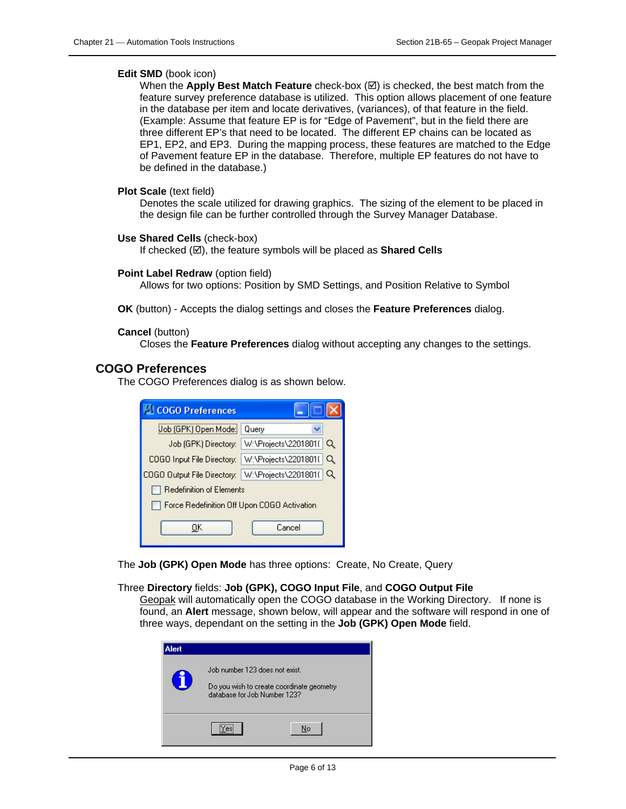### **Edit SMD** (book icon)

When the **Apply Best Match Feature** check-box  $(\emptyset)$  is checked, the best match from the feature survey preference database is utilized. This option allows placement of one feature in the database per item and locate derivatives, (variances), of that feature in the field. (Example: Assume that feature EP is for "Edge of Pavement", but in the field there are three different EP's that need to be located. The different EP chains can be located as EP1, EP2, and EP3. During the mapping process, these features are matched to the Edge of Pavement feature EP in the database. Therefore, multiple EP features do not have to be defined in the database.)

### **Plot Scale** (text field)

Denotes the scale utilized for drawing graphics. The sizing of the element to be placed in the design file can be further controlled through the Survey Manager Database.

### **Use Shared Cells** (check-box)

If checked ( $\boxtimes$ ), the feature symbols will be placed as **Shared Cells** 

#### **Point Label Redraw** (option field)

Allows for two options: Position by SMD Settings, and Position Relative to Symbol

**OK** (button) - Accepts the dialog settings and closes the **Feature Preferences** dialog.

### **Cancel** (button)

Closes the **Feature Preferences** dialog without accepting any changes to the settings.

### <span id="page-5-0"></span>**COGO Preferences**

The COGO Preferences dialog is as shown below.

| <b>MCOGO Preferences</b>                         |                                                       |
|--------------------------------------------------|-------------------------------------------------------|
| (Job (GPK) Open Mode                             | Querv                                                 |
|                                                  | Job (GPK) Directory: W:\Projects\2201801(<br>$\alpha$ |
|                                                  | COGO Input File Directory: W:\Projects\2201801( Q     |
| COGO Output File Directory: W:\Projects\2201801( |                                                       |
| Redefinition of Elements                         |                                                       |
| Force Redefinition Off Upon COGO Activation      |                                                       |
| UΚ                                               | Cancel                                                |

The **Job (GPK) Open Mode** has three options: Create, No Create, Query

#### Three **Directory** fields: **Job (GPK), COGO Input File**, and **COGO Output File**

Geopak will automatically open the COGO database in the Working Directory. If none is found, an **Alert** message, shown below, will appear and the software will respond in one of three ways, dependant on the setting in the **Job (GPK) Open Mode** field.

| Alert          |                                                                                                             |    |
|----------------|-------------------------------------------------------------------------------------------------------------|----|
| $\blacksquare$ | Job number 123 does not exist.<br>Do you wish to create coordinate geometry<br>database for Job Number 123? |    |
|                |                                                                                                             | No |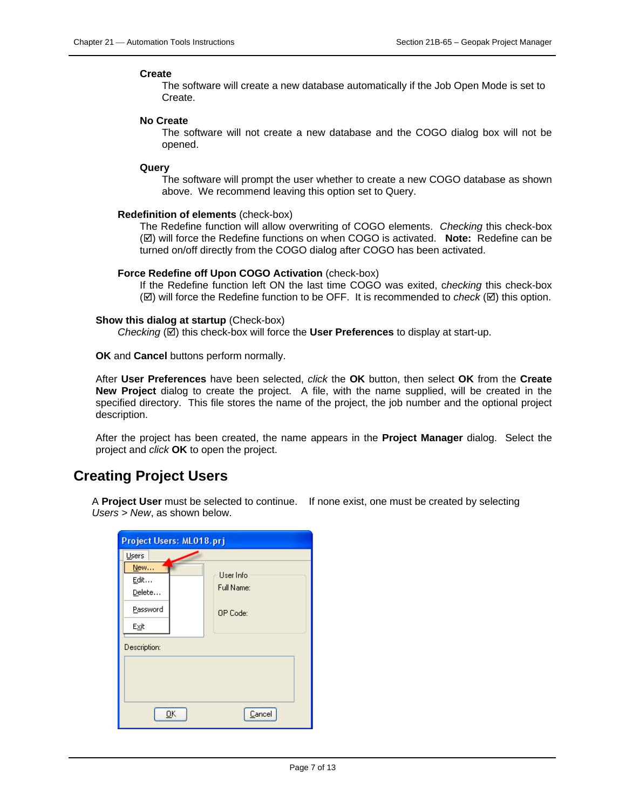#### **Create**

The software will create a new database automatically if the Job Open Mode is set to Create.

#### **No Create**

The software will not create a new database and the COGO dialog box will not be opened.

**Query** 

The software will prompt the user whether to create a new COGO database as shown above. We recommend leaving this option set to Query.

#### **Redefinition of elements** (check-box)

The Redefine function will allow overwriting of COGO elements. *Checking* this check-box (☑) will force the Redefine functions on when COGO is activated. Note: Redefine can be turned on/off directly from the COGO dialog after COGO has been activated.

#### **Force Redefine off Upon COGO Activation** (check-box)

If the Redefine function left ON the last time COGO was exited, c*hecking* this check-box  $(\boxtimes)$  will force the Redefine function to be OFF. It is recommended to *check*  $(\boxtimes)$  this option.

#### **Show this dialog at startup** (Check-box)

*Checking* ( $\boxtimes$ ) this check-box will force the User Preferences to display at start-up.

**OK** and **Cancel** buttons perform normally.

After **User Preferences** have been selected, *click* the **OK** button, then select **OK** from the **Create New Project** dialog to create the project. A file, with the name supplied, will be created in the specified directory. This file stores the name of the project, the job number and the optional project description.

After the project has been created, the name appears in the **Project Manager** dialog. Select the project and *click* **OK** to open the project.

### <span id="page-6-0"></span>**Creating Project Users**

A **Project User** must be selected to continue. If none exist, one must be created by selecting *Users > New*, as shown below.

| Project Users: ML018.prj |                         |  |
|--------------------------|-------------------------|--|
| Users                    |                         |  |
| New<br>Edit<br>Delete    | User Info<br>Full Name: |  |
| Password<br>Exit         | OP Code:                |  |
| Description:             |                         |  |
| OΚ<br>Cancel             |                         |  |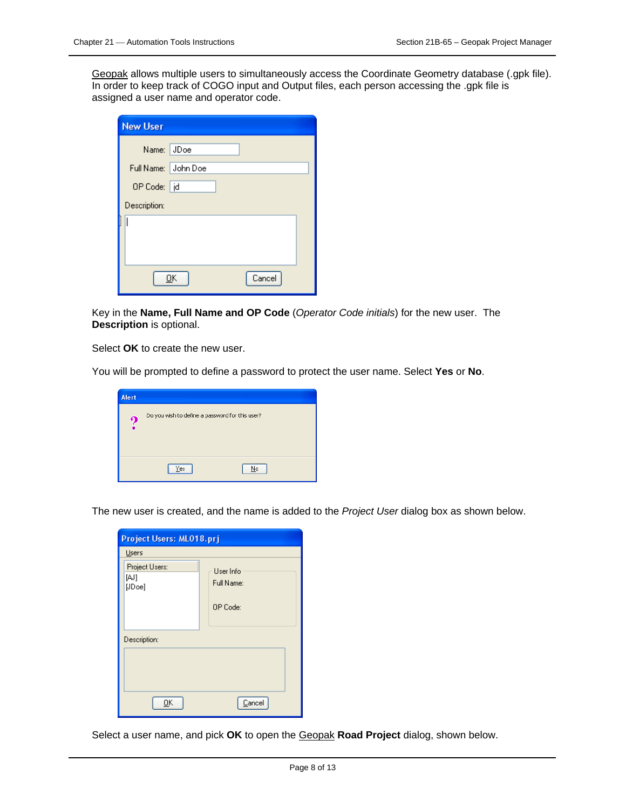Geopak allows multiple users to simultaneously access the Coordinate Geometry database (.gpk file). In order to keep track of COGO input and Output files, each person accessing the .gpk file is assigned a user name and operator code.

| <b>New User</b>     |  |  |  |
|---------------------|--|--|--|
| Name: JDoe          |  |  |  |
| Full Name: John Doe |  |  |  |
| OP Code: d          |  |  |  |
| Description:        |  |  |  |
| I                   |  |  |  |
| Cancel<br>OΚ        |  |  |  |

Key in the **Name, Full Name and OP Code** (*Operator Code initials*) for the new user. The **Description** is optional.

Select **OK** to create the new user.

You will be prompted to define a password to protect the user name. Select **Yes** or **No**.

| <b>Alert</b> |                                                 |
|--------------|-------------------------------------------------|
| ۰)           | Do you wish to define a password for this user? |
|              | No<br>Yes                                       |

The new user is created, and the name is added to the *Project User* dialog box as shown below.

| Project Users: ML018.prj         |                         |  |  |
|----------------------------------|-------------------------|--|--|
| Users                            |                         |  |  |
| Project Users:<br>[AJ]<br>[JDoe] | User Info<br>Full Name: |  |  |
|                                  | OP Code:                |  |  |
| Description:                     |                         |  |  |
|                                  |                         |  |  |
| OΚ                               | Cancel                  |  |  |

Select a user name, and pick **OK** to open the Geopak **Road Project** dialog, shown below.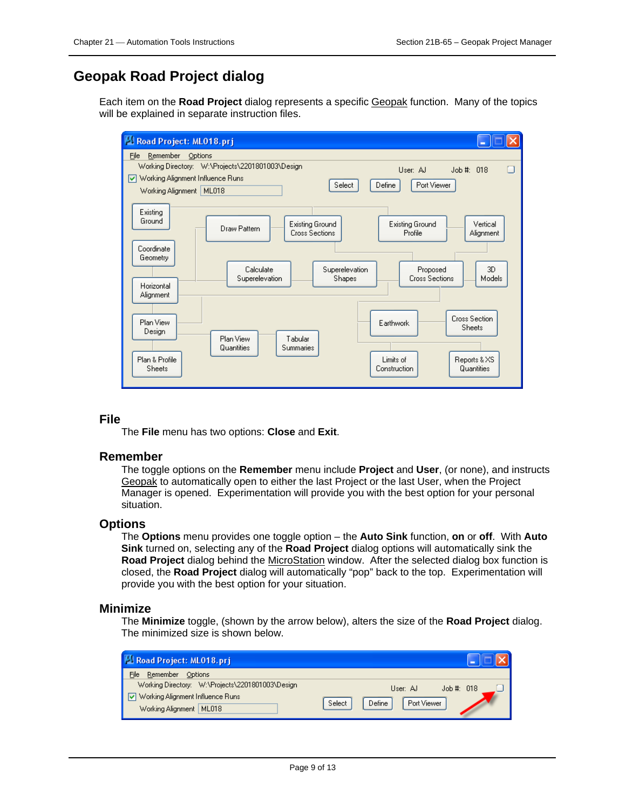# <span id="page-8-0"></span>**Geopak Road Project dialog**

Each item on the **Road Project** dialog represents a specific Geopak function. Many of the topics will be explained in separate instruction files.



### **File**

The **File** menu has two options: **Close** and **Exit**.

### **Remember**

The toggle options on the **Remember** menu include **Project** and **User**, (or none), and instructs Geopak to automatically open to either the last Project or the last User, when the Project Manager is opened. Experimentation will provide you with the best option for your personal situation.

### **Options**

The **Options** menu provides one toggle option – the **Auto Sink** function, **on** or **off**. With **Auto Sink** turned on, selecting any of the **Road Project** dialog options will automatically sink the **Road Project** dialog behind the MicroStation window. After the selected dialog box function is closed, the **Road Project** dialog will automatically "pop" back to the top. Experimentation will provide you with the best option for your situation.

### **Minimize**

The **Minimize** toggle, (shown by the arrow below), alters the size of the **Road Project** dialog. The minimized size is shown below.

| Road Project: ML018.prj                                                                                           |                                                            |
|-------------------------------------------------------------------------------------------------------------------|------------------------------------------------------------|
| File<br>Remember Options                                                                                          |                                                            |
| Working Directory: W:\Projects\2201801003\Design<br>Working Alignment Influence Runs<br>Working Alignment   ML018 | Job  #: 018<br>User: AJ<br>Port Viewer<br>Select<br>Define |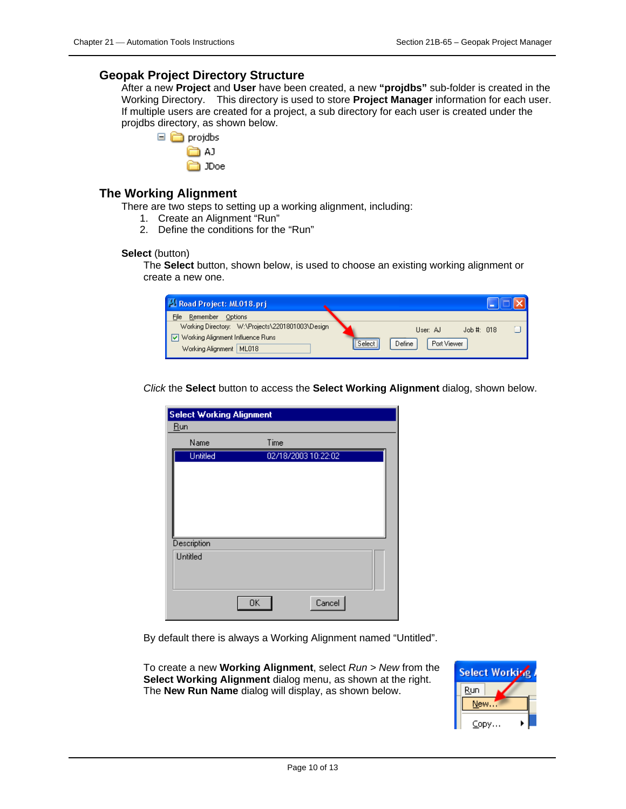### <span id="page-9-0"></span>**Geopak Project Directory Structure**

After a new **Project** and **User** have been created, a new **"projdbs"** sub-folder is created in the Working Directory. This directory is used to store **Project Manager** information for each user. If multiple users are created for a project, a sub directory for each user is created under the projdbs directory, as shown below.



**∩** JDoe

### <span id="page-9-1"></span>**The Working Alignment**

There are two steps to setting up a working alignment, including:

- 1. Create an Alignment "Run"
- 2. Define the conditions for the "Run"

### **Select** (button)

The **Select** button, shown below, is used to choose an existing working alignment or create a new one.

| Road Project: ML018.prj                                                                                             |                                                             |
|---------------------------------------------------------------------------------------------------------------------|-------------------------------------------------------------|
| Remember<br>File<br>Options                                                                                         |                                                             |
| Working Directory: W:\Projects\2201801003\Design<br>□ Working Alignment Influence Runs<br>Working Alignment   ML018 | Job# 018<br>User: AJ<br><br>Port Viewer<br>Define<br>Select |

*Click* the **Select** button to access the **Select Working Alignment** dialog, shown below.

| <b>Select Working Alignment</b> |      |                     |  |
|---------------------------------|------|---------------------|--|
| <b>Run</b>                      |      |                     |  |
| Name                            | Time |                     |  |
| <b>Untitled</b>                 |      | 02/18/2003 10:22:02 |  |
|                                 |      |                     |  |
|                                 |      |                     |  |
|                                 |      |                     |  |
|                                 |      |                     |  |
|                                 |      |                     |  |
| Description                     |      |                     |  |
| Untitled                        |      |                     |  |
|                                 |      |                     |  |
|                                 |      |                     |  |
|                                 |      |                     |  |
|                                 | 0K   | Cancel              |  |

By default there is always a Working Alignment named "Untitled".

To create a new **Working Alignment**, select *Run > New* from the **Select Working Alignment** dialog menu, as shown at the right. The **New Run Name** dialog will display, as shown below.

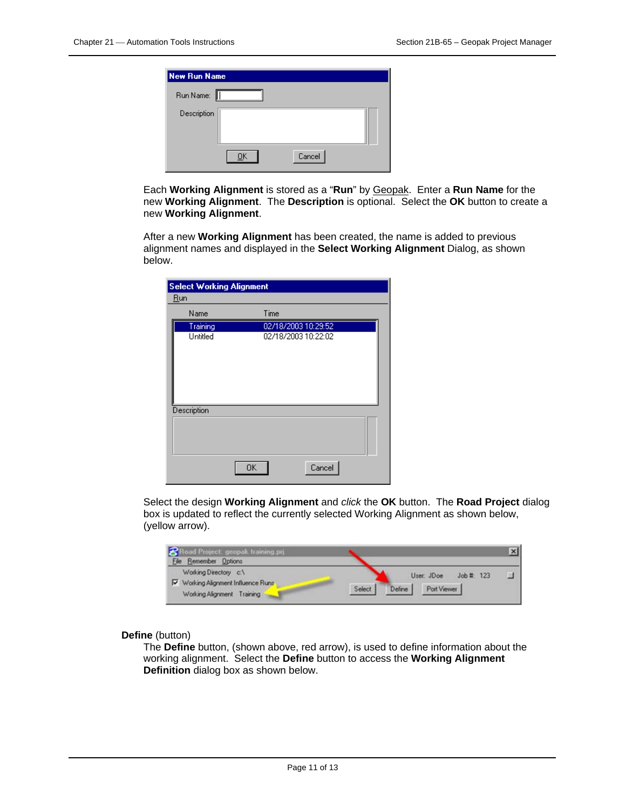| <b>New Run Name</b> |        |  |
|---------------------|--------|--|
| Run Name:           |        |  |
| Description         |        |  |
|                     | Cancel |  |

Each **Working Alignment** is stored as a "**Run**" by Geopak. Enter a **Run Name** for the new **Working Alignment**. The **Description** is optional. Select the **OK** button to create a new **Working Alignment**.

After a new **Working Alignment** has been created, the name is added to previous alignment names and displayed in the **Select Working Alignment** Dialog, as shown below.

| <b>Select Working Alignment</b> |                     |  |  |  |
|---------------------------------|---------------------|--|--|--|
| <b>Run</b>                      |                     |  |  |  |
| Name                            | Time                |  |  |  |
| Training                        | 02/18/2003 10:29:52 |  |  |  |
| Untitled                        | 02/18/2003 10:22:02 |  |  |  |
| Description                     |                     |  |  |  |
|                                 |                     |  |  |  |
|                                 | Cancel<br>OΚ        |  |  |  |

Select the design **Working Alignment** and *click* the **OK** button. The **Road Project** dialog box is updated to reflect the currently selected Working Alignment as shown below, (yellow arrow).

| $\mathbf{z}$<br>id Project: geopak training.prj |        |        |             |            |  |
|-------------------------------------------------|--------|--------|-------------|------------|--|
| Elle Remember Options                           |        |        |             |            |  |
| Working Directory c:\                           |        |        | User: JDoe  | Job #: 123 |  |
| Vorking Alignment Influence Runs                | Select | Define | Port Viewer |            |  |
| Working Alignment Training                      |        |        |             |            |  |

### **Define** (button)

The **Define** button, (shown above, red arrow), is used to define information about the working alignment. Select the **Define** button to access the **Working Alignment Definition** dialog box as shown below.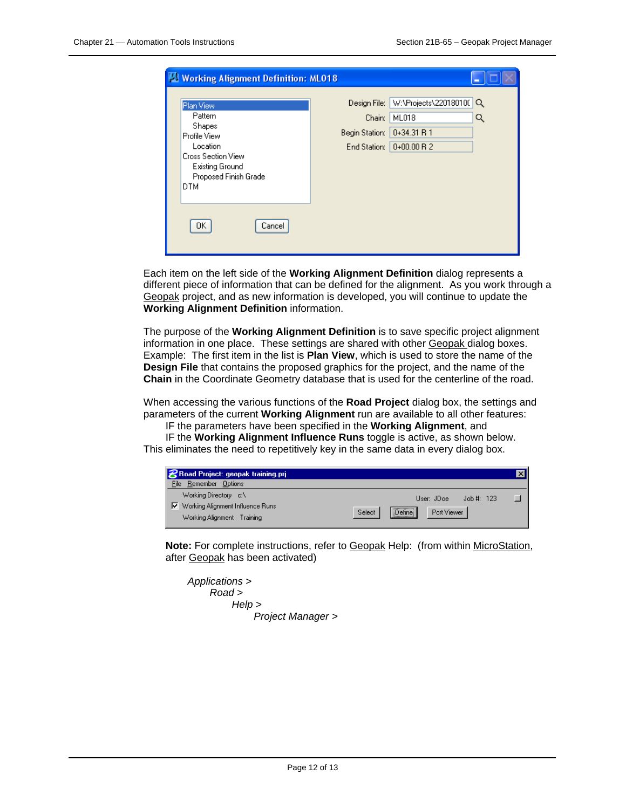| <b>Working Alignment Definition: ML018</b>                                                                                                 |                                                          |                                                              |        |
|--------------------------------------------------------------------------------------------------------------------------------------------|----------------------------------------------------------|--------------------------------------------------------------|--------|
| Plan View<br>Pattern<br>Shapes<br>Profile View<br>Location<br>Cross Section View<br>Existing Ground<br>Proposed Finish Grade<br><b>DTM</b> | Design File:<br>Chain:<br>Begin Station:<br>End Station: | W:\Projects\220180100<br>ML018<br>0+34.31 R 1<br>$0+00.00R2$ | Q<br>Q |
| OK.<br>Cancel                                                                                                                              |                                                          |                                                              |        |

Each item on the left side of the **Working Alignment Definition** dialog represents a different piece of information that can be defined for the alignment. As you work through a Geopak project, and as new information is developed, you will continue to update the **Working Alignment Definition** information.

The purpose of the **Working Alignment Definition** is to save specific project alignment information in one place. These settings are shared with other Geopak dialog boxes. Example: The first item in the list is **Plan View**, which is used to store the name of the **Design File** that contains the proposed graphics for the project, and the name of the **Chain** in the Coordinate Geometry database that is used for the centerline of the road.

When accessing the various functions of the **Road Project** dialog box, the settings and parameters of the current **Working Alignment** run are available to all other features:

IF the parameters have been specified in the **Working Alignment**, and

IF the **Working Alignment Influence Runs** toggle is active, as shown below. This eliminates the need to repetitively key in the same data in every dialog box.

| <b>8</b> Road Project: geopak training.pri                                                       |                                                             | x |
|--------------------------------------------------------------------------------------------------|-------------------------------------------------------------|---|
| Remember Options<br>File                                                                         |                                                             |   |
| Working Directory c:\<br>$\nabla$ Working Alignment Influence Runs<br>Working Alignment Training | Job #: 123<br>User: JDoe<br>Define<br>Port Viewer<br>Select |   |

**Note:** For complete instructions, refer to Geopak Help: (from within MicroStation, after Geopak has been activated)

| Applications > |                   |
|----------------|-------------------|
| Read >         |                   |
| He/p >         |                   |
|                | Project Manager > |